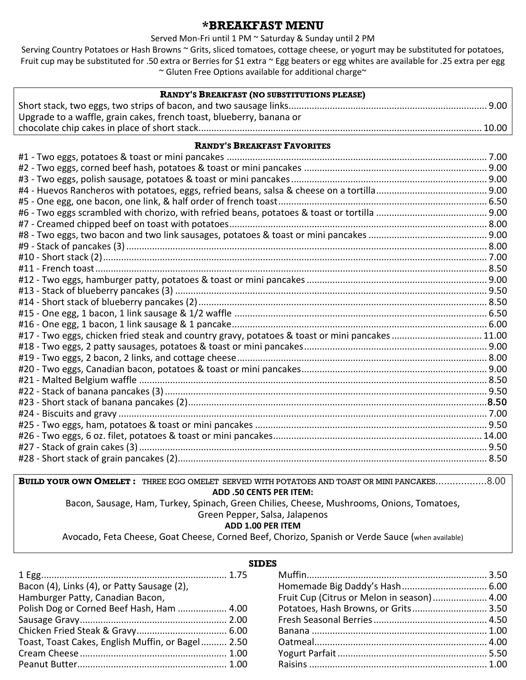## **\*BREAKFAST MENU**

#### Served Mon-Fri until 1 PM ~ Saturday & Sunday until 2 PM

Serving Country Potatoes or Hash Browns ~ Grits, sliced tomatoes, cottage cheese, or yogurt may be substituted for potatoes, Fruit cup may be substituted for .50 extra or Berries for \$1 extra ~ Egg beaters or egg whites are available for .25 extra per egg ~ Gluten Free Options available for additional charge~

| <b>RANDY'S BREAKFAST (NO SUBSTITUTIONS PLEASE)</b>                   |  |  |  |
|----------------------------------------------------------------------|--|--|--|
|                                                                      |  |  |  |
| Upgrade to a waffle, grain cakes, french toast, blueberry, banana or |  |  |  |
|                                                                      |  |  |  |

#### **RANDY'S BREAKFAST FAVORITES**

| #17 - Two eggs, chicken fried steak and country gravy, potatoes & toast or mini pancakes 11.00 |  |
|------------------------------------------------------------------------------------------------|--|
|                                                                                                |  |
|                                                                                                |  |
|                                                                                                |  |
|                                                                                                |  |
|                                                                                                |  |
|                                                                                                |  |
|                                                                                                |  |
|                                                                                                |  |
|                                                                                                |  |
|                                                                                                |  |
|                                                                                                |  |
|                                                                                                |  |

**BUILD YOUR OWN OMELET :** THREE EGG OMELET SERVED WITH POTATOES AND TOAST OR MINI PANCAKES………………8.00 **ADD .50 CENTS PER ITEM:** Bacon, Sausage, Ham, Turkey, Spinach, Green Chilies, Cheese, Mushrooms, Onions, Tomatoes,

### Green Pepper, Salsa, Jalapenos

## **ADD 1.00 PER ITEM**

Avocado, Feta Cheese, Goat Cheese, Corned Beef, Chorizo, Spanish or Verde Sauce (when available)

| <b>SIDES</b>                                      |                                             |  |  |  |
|---------------------------------------------------|---------------------------------------------|--|--|--|
|                                                   |                                             |  |  |  |
| Bacon (4), Links (4), or Patty Sausage (2),       |                                             |  |  |  |
| Hamburger Patty, Canadian Bacon,                  | Fruit Cup (Citrus or Melon in season)  4.00 |  |  |  |
| Polish Dog or Corned Beef Hash, Ham  4.00         | Potatoes, Hash Browns, or Grits 3.50        |  |  |  |
|                                                   |                                             |  |  |  |
|                                                   |                                             |  |  |  |
| Toast, Toast Cakes, English Muffin, or Bagel 2.50 |                                             |  |  |  |
|                                                   |                                             |  |  |  |
|                                                   |                                             |  |  |  |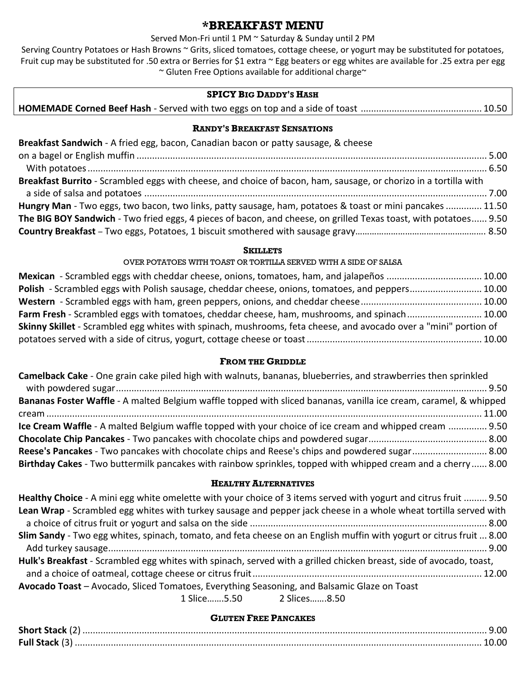## **\*BREAKFAST MENU**

### Served Mon-Fri until 1 PM ~ Saturday & Sunday until 2 PM

Serving Country Potatoes or Hash Browns ~ Grits, sliced tomatoes, cottage cheese, or yogurt may be substituted for potatoes, Fruit cup may be substituted for .50 extra or Berries for \$1 extra ~ Egg beaters or egg whites are available for .25 extra per egg ~ Gluten Free Options available for additional charge~

### **SPICY BIG DADDY'S HASH**

|--|--|--|--|

#### **RANDY'S BREAKFAST SENSATIONS**

| Breakfast Sandwich - A fried egg, bacon, Canadian bacon or patty sausage, & cheese                               |  |
|------------------------------------------------------------------------------------------------------------------|--|
|                                                                                                                  |  |
|                                                                                                                  |  |
| Breakfast Burrito - Scrambled eggs with cheese, and choice of bacon, ham, sausage, or chorizo in a tortilla with |  |
|                                                                                                                  |  |
| Hungry Man - Two eggs, two bacon, two links, patty sausage, ham, potatoes & toast or mini pancakes  11.50        |  |
| The BIG BOY Sandwich - Two fried eggs, 4 pieces of bacon, and cheese, on grilled Texas toast, with potatoes 9.50 |  |
|                                                                                                                  |  |

#### **SKILLETS**

#### OVER POTATOES WITH TOAST OR TORTILLA SERVED WITH A SIDE OF SALSA

| Mexican - Scrambled eggs with cheddar cheese, onions, tomatoes, ham, and jalapeños  10.00                        |  |
|------------------------------------------------------------------------------------------------------------------|--|
| Polish - Scrambled eggs with Polish sausage, cheddar cheese, onions, tomatoes, and peppers 10.00                 |  |
|                                                                                                                  |  |
| Farm Fresh - Scrambled eggs with tomatoes, cheddar cheese, ham, mushrooms, and spinach 10.00                     |  |
| Skinny Skillet - Scrambled egg whites with spinach, mushrooms, feta cheese, and avocado over a "mini" portion of |  |
|                                                                                                                  |  |

### **FROM THE GRIDDLE**

| Camelback Cake - One grain cake piled high with walnuts, bananas, blueberries, and strawberries then sprinkled    |  |
|-------------------------------------------------------------------------------------------------------------------|--|
|                                                                                                                   |  |
| Bananas Foster Waffle - A malted Belgium waffle topped with sliced bananas, vanilla ice cream, caramel, & whipped |  |
|                                                                                                                   |  |
| Ice Cream Waffle - A malted Belgium waffle topped with your choice of ice cream and whipped cream  9.50           |  |
|                                                                                                                   |  |
| Reese's Pancakes - Two pancakes with chocolate chips and Reese's chips and powdered sugar 8.00                    |  |
| Birthday Cakes - Two buttermilk pancakes with rainbow sprinkles, topped with whipped cream and a cherry 8.00      |  |

### **HEALTHY ALTERNATIVES**

| Healthy Choice - A mini egg white omelette with your choice of 3 items served with yogurt and citrus fruit  9.50     |
|----------------------------------------------------------------------------------------------------------------------|
| Lean Wrap - Scrambled egg whites with turkey sausage and pepper jack cheese in a whole wheat tortilla served with    |
|                                                                                                                      |
| Slim Sandy - Two egg whites, spinach, tomato, and feta cheese on an English muffin with yogurt or citrus fruit  8.00 |
|                                                                                                                      |
| Hulk's Breakfast - Scrambled egg whites with spinach, served with a grilled chicken breast, side of avocado, toast,  |
|                                                                                                                      |
| Avocado Toast - Avocado, Sliced Tomatoes, Everything Seasoning, and Balsamic Glaze on Toast                          |
| 1 Slice5.50 2 Slices8.50                                                                                             |

### **GLUTEN FREE PANCAKES**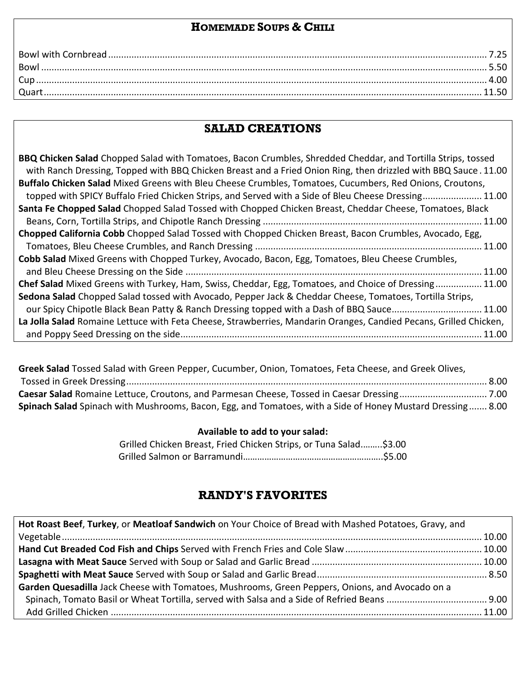## **HOMEMADE SOUPS & CHILI**

| Bowl. |  |
|-------|--|
|       |  |
|       |  |

# **SALAD CREATIONS**

| BBQ Chicken Salad Chopped Salad with Tomatoes, Bacon Crumbles, Shredded Cheddar, and Tortilla Strips, tossed      |
|-------------------------------------------------------------------------------------------------------------------|
| with Ranch Dressing, Topped with BBQ Chicken Breast and a Fried Onion Ring, then drizzled with BBQ Sauce. 11.00   |
| Buffalo Chicken Salad Mixed Greens with Bleu Cheese Crumbles, Tomatoes, Cucumbers, Red Onions, Croutons,          |
| topped with SPICY Buffalo Fried Chicken Strips, and Served with a Side of Bleu Cheese Dressing 11.00              |
| Santa Fe Chopped Salad Chopped Salad Tossed with Chopped Chicken Breast, Cheddar Cheese, Tomatoes, Black          |
|                                                                                                                   |
| Chopped California Cobb Chopped Salad Tossed with Chopped Chicken Breast, Bacon Crumbles, Avocado, Egg,           |
|                                                                                                                   |
| Cobb Salad Mixed Greens with Chopped Turkey, Avocado, Bacon, Egg, Tomatoes, Bleu Cheese Crumbles,                 |
|                                                                                                                   |
| Chef Salad Mixed Greens with Turkey, Ham, Swiss, Cheddar, Egg, Tomatoes, and Choice of Dressing 11.00             |
| Sedona Salad Chopped Salad tossed with Avocado, Pepper Jack & Cheddar Cheese, Tomatoes, Tortilla Strips,          |
| our Spicy Chipotle Black Bean Patty & Ranch Dressing topped with a Dash of BBQ Sauce 11.00                        |
| La Jolla Salad Romaine Lettuce with Feta Cheese, Strawberries, Mandarin Oranges, Candied Pecans, Grilled Chicken, |
| .11.00                                                                                                            |

**Greek Salad** Tossed Salad with Green Pepper, Cucumber, Onion, Tomatoes, Feta Cheese, and Greek Olives, Tossed in Greek Dressing............................................................................................................................................ 8.00 **Caesar Salad** Romaine Lettuce, Croutons, and Parmesan Cheese, Tossed in Caesar Dressing.................................. 7.00 **Spinach Salad** Spinach with Mushrooms, Bacon, Egg, and Tomatoes, with a Side of Honey Mustard Dressing....... 8.00

## **Available to add to your salad:**

| Grilled Chicken Breast, Fried Chicken Strips, or Tuna Salad\$3.00 |  |  |
|-------------------------------------------------------------------|--|--|
|                                                                   |  |  |

## **RANDY'S FAVORITES**

| Hot Roast Beef, Turkey, or Meatloaf Sandwich on Your Choice of Bread with Mashed Potatoes, Gravy, and |  |
|-------------------------------------------------------------------------------------------------------|--|
|                                                                                                       |  |
|                                                                                                       |  |
|                                                                                                       |  |
|                                                                                                       |  |
| Garden Quesadilla Jack Cheese with Tomatoes, Mushrooms, Green Peppers, Onions, and Avocado on a       |  |
|                                                                                                       |  |
|                                                                                                       |  |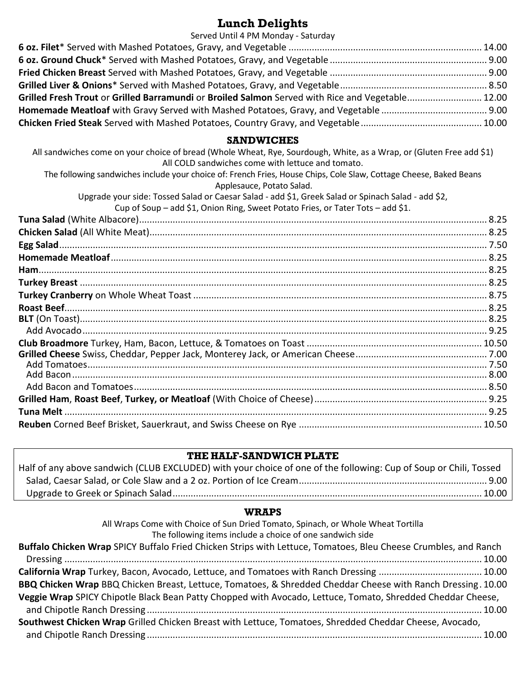# **Lunch Delights**

| Served Until 4 PM Monday - Saturday                                                              |  |
|--------------------------------------------------------------------------------------------------|--|
|                                                                                                  |  |
|                                                                                                  |  |
|                                                                                                  |  |
|                                                                                                  |  |
| Grilled Fresh Trout or Grilled Barramundi or Broiled Salmon Served with Rice and Vegetable 12.00 |  |
|                                                                                                  |  |
|                                                                                                  |  |
|                                                                                                  |  |

## **SANDWICHES**

| All sandwiches come on your choice of bread (Whole Wheat, Rye, Sourdough, White, as a Wrap, or (Gluten Free add \$1)<br>All COLD sandwiches come with lettuce and tomato.             |  |
|---------------------------------------------------------------------------------------------------------------------------------------------------------------------------------------|--|
| The following sandwiches include your choice of: French Fries, House Chips, Cole Slaw, Cottage Cheese, Baked Beans<br>Applesauce, Potato Salad.                                       |  |
| Upgrade your side: Tossed Salad or Caesar Salad - add \$1, Greek Salad or Spinach Salad - add \$2,<br>Cup of Soup - add \$1, Onion Ring, Sweet Potato Fries, or Tater Tots - add \$1. |  |
|                                                                                                                                                                                       |  |
|                                                                                                                                                                                       |  |
|                                                                                                                                                                                       |  |
|                                                                                                                                                                                       |  |
|                                                                                                                                                                                       |  |
|                                                                                                                                                                                       |  |
|                                                                                                                                                                                       |  |
|                                                                                                                                                                                       |  |
|                                                                                                                                                                                       |  |
|                                                                                                                                                                                       |  |
|                                                                                                                                                                                       |  |
|                                                                                                                                                                                       |  |
|                                                                                                                                                                                       |  |
|                                                                                                                                                                                       |  |
|                                                                                                                                                                                       |  |
|                                                                                                                                                                                       |  |
|                                                                                                                                                                                       |  |
|                                                                                                                                                                                       |  |
|                                                                                                                                                                                       |  |

## **THE HALF-SANDWICH PLATE**

| Half of any above sandwich (CLUB EXCLUDED) with your choice of one of the following: Cup of Soup or Chili, Tossed |  |
|-------------------------------------------------------------------------------------------------------------------|--|
|                                                                                                                   |  |
|                                                                                                                   |  |

# **WRAPS**

| All Wraps Come with Choice of Sun Dried Tomato, Spinach, or Whole Wheat Tortilla<br>The following items include a choice of one sandwich side |
|-----------------------------------------------------------------------------------------------------------------------------------------------|
| Buffalo Chicken Wrap SPICY Buffalo Fried Chicken Strips with Lettuce, Tomatoes, Bleu Cheese Crumbles, and Ranch                               |
|                                                                                                                                               |
|                                                                                                                                               |
| California Wrap Turkey, Bacon, Avocado, Lettuce, and Tomatoes with Ranch Dressing  10.00                                                      |
| BBQ Chicken Wrap BBQ Chicken Breast, Lettuce, Tomatoes, & Shredded Cheddar Cheese with Ranch Dressing. 10.00                                  |
| Veggie Wrap SPICY Chipotle Black Bean Patty Chopped with Avocado, Lettuce, Tomato, Shredded Cheddar Cheese,                                   |
|                                                                                                                                               |
| Southwest Chicken Wrap Grilled Chicken Breast with Lettuce, Tomatoes, Shredded Cheddar Cheese, Avocado,                                       |
|                                                                                                                                               |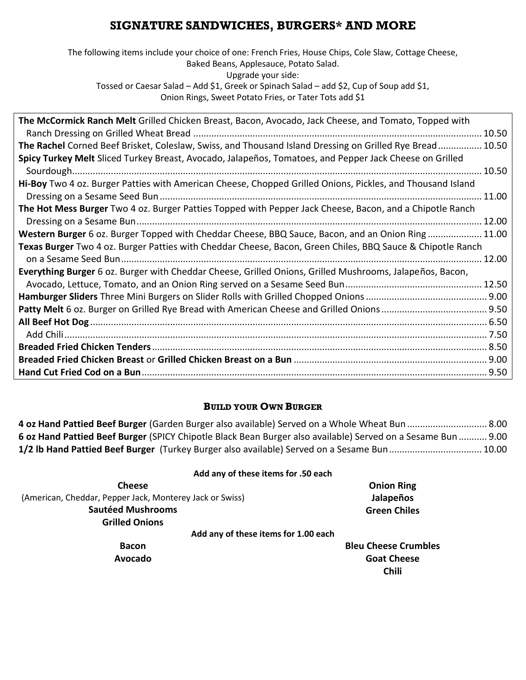# **SIGNATURE SANDWICHES, BURGERS\* AND MORE**

The following items include your choice of one: French Fries, House Chips, Cole Slaw, Cottage Cheese, Baked Beans, Applesauce, Potato Salad. Upgrade your side: Tossed or Caesar Salad – Add \$1, Greek or Spinach Salad – add \$2, Cup of Soup add \$1, Onion Rings, Sweet Potato Fries, or Tater Tots add \$1

| The McCormick Ranch Melt Grilled Chicken Breast, Bacon, Avocado, Jack Cheese, and Tomato, Topped with      |       |
|------------------------------------------------------------------------------------------------------------|-------|
|                                                                                                            |       |
| The Rachel Corned Beef Brisket, Coleslaw, Swiss, and Thousand Island Dressing on Grilled Rye Bread 10.50   |       |
| Spicy Turkey Melt Sliced Turkey Breast, Avocado, Jalapeños, Tomatoes, and Pepper Jack Cheese on Grilled    |       |
|                                                                                                            |       |
| Hi-Boy Two 4 oz. Burger Patties with American Cheese, Chopped Grilled Onions, Pickles, and Thousand Island |       |
|                                                                                                            | 11.00 |
| The Hot Mess Burger Two 4 oz. Burger Patties Topped with Pepper Jack Cheese, Bacon, and a Chipotle Ranch   |       |
|                                                                                                            |       |
| Western Burger 6 oz. Burger Topped with Cheddar Cheese, BBQ Sauce, Bacon, and an Onion Ring 11.00          |       |
| Texas Burger Two 4 oz. Burger Patties with Cheddar Cheese, Bacon, Green Chiles, BBQ Sauce & Chipotle Ranch |       |
|                                                                                                            | 12.00 |
| Everything Burger 6 oz. Burger with Cheddar Cheese, Grilled Onions, Grilled Mushrooms, Jalapeños, Bacon,   |       |
|                                                                                                            |       |
|                                                                                                            |       |
|                                                                                                            |       |
|                                                                                                            |       |
|                                                                                                            |       |
|                                                                                                            |       |
|                                                                                                            |       |
|                                                                                                            |       |

## **BUILD YOUR OWN BURGER**

**4 oz Hand Pattied Beef Burger** (Garden Burger also available) Served on a Whole Wheat Bun ............................... 8.00 **6 oz Hand Pattied Beef Burger** (SPICY Chipotle Black Bean Burger also available) Served on a Sesame Bun ........... 9.00 **1/2 lb Hand Pattied Beef Burger** (Turkey Burger also available) Served on a Sesame Bun.................................... 10.00

### **Add any of these items for .50 each**

| <b>Cheese</b>                                            | <b>Onion Ring</b>           |
|----------------------------------------------------------|-----------------------------|
| (American, Cheddar, Pepper Jack, Monterey Jack or Swiss) | Jalapeños                   |
| <b>Sautéed Mushrooms</b>                                 | <b>Green Chiles</b>         |
| <b>Grilled Onions</b>                                    |                             |
| Add any of these items for 1.00 each                     |                             |
| <b>Bacon</b>                                             | <b>Bleu Cheese Crumbles</b> |
| Avocado                                                  | <b>Goat Cheese</b>          |
|                                                          | <b>Chili</b>                |
|                                                          |                             |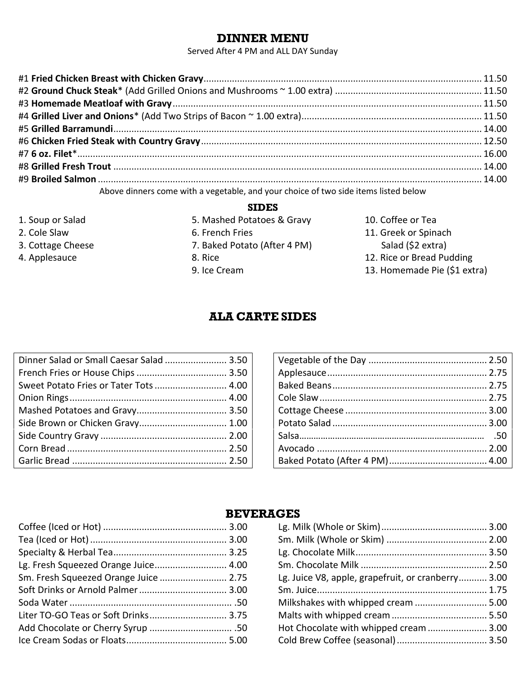## **DINNER MENU**

Served After 4 PM and ALL DAY Sunday

| Above dinners come with a vegetable, and your choice of two side items listed below |  |
|-------------------------------------------------------------------------------------|--|

### **SIDES**

- 1. Soup or Salad
- 2. Cole Slaw
- 3. Cottage Cheese
- 4. Applesauce
- 5. Mashed Potatoes & Gravy 6. French Fries 7. Baked Potato (After 4 PM) 8. Rice 9. Ice Cream
- 10. Coffee or Tea 11. Greek or Spinach Salad (\$2 extra)
- 12. Rice or Bread Pudding
- 13. Homemade Pie (\$1 extra)

## **ALA CARTE SIDES**

| Dinner Salad or Small Caesar Salad  3.50 |  |
|------------------------------------------|--|
|                                          |  |
| Sweet Potato Fries or Tater Tots  4.00   |  |
|                                          |  |
|                                          |  |
|                                          |  |
|                                          |  |
|                                          |  |
|                                          |  |

## **BEVERAGES**

| Lg. Fresh Squeezed Orange Juice 4.00  |  |
|---------------------------------------|--|
| Sm. Fresh Squeezed Orange Juice  2.75 |  |
|                                       |  |
|                                       |  |
| Liter TO-GO Teas or Soft Drinks 3.75  |  |
| Add Chocolate or Cherry Syrup  .50    |  |
|                                       |  |
|                                       |  |

| Lg. Juice V8, apple, grapefruit, or cranberry 3.00 |  |
|----------------------------------------------------|--|
|                                                    |  |
| Milkshakes with whipped cream  5.00                |  |
|                                                    |  |
| Hot Chocolate with whipped cream  3.00             |  |
|                                                    |  |